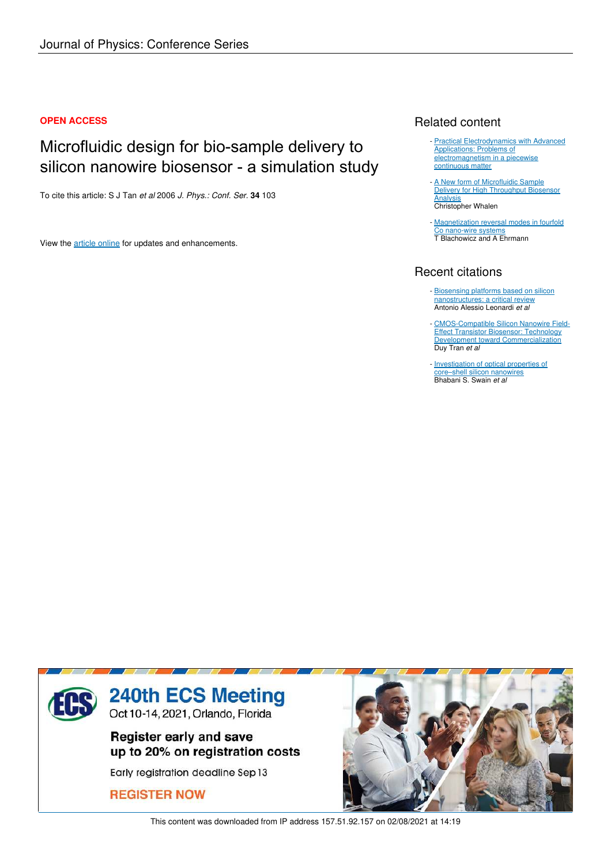## **OPEN ACCESS**

# Microfluidic design for bio-sample delivery to silicon nanowire biosensor - a simulation study

To cite this article: S J Tan *et al* 2006 *J. Phys.: Conf. Ser.* **34** 103

View the article online for updates and enhancements.

## Related content

- **Practical Electrodynamics with Advanced** Applications: Problems of electromagnetism in a piecewise continuous matter
- A New form of Microfluidic Sample Delivery for High Throughput Biosensor **Analysis** Christopher Whalen -
- Magnetization reversal modes in fourfold Co nano-wire systems T Blachowicz and A Ehrmann

# Recent citations

- Biosensing platforms based on silicon nanostructures: a critical review Antonio Alessio Leonardi *et al*
- CMOS-Compatible Silicon Nanowire Field-Effect Transistor Biosensor: Technology Development toward Commercialization Duy Tran *et al* -
- Investigation of optical properties of core–shell silicon nanowires Bhabani S. Swain *et al*



This content was downloaded from IP address 157.51.92.157 on 02/08/2021 at 14:19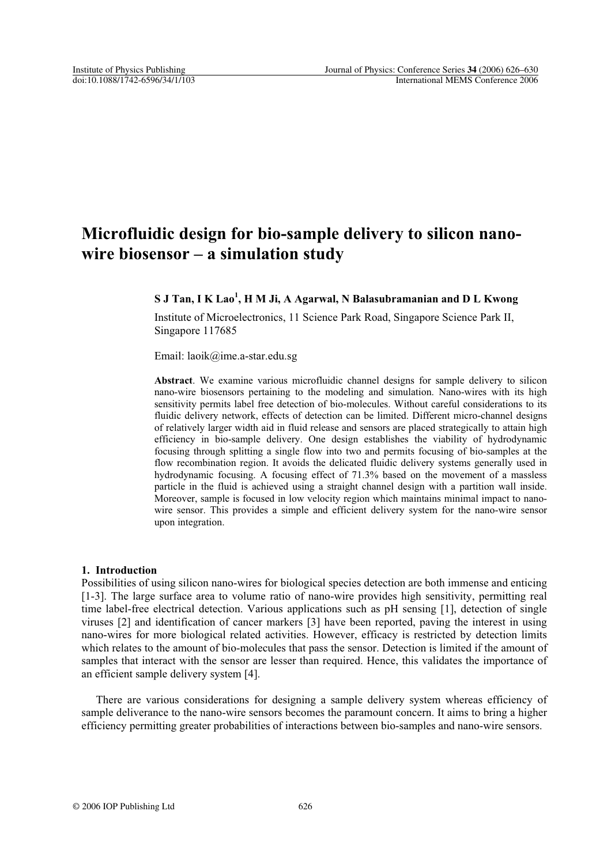# **Microfluidic design for bio-sample delivery to silicon nanowire biosensor – a simulation study**

## **S J Tan, I K Lao<sup>1</sup> , H M Ji, A Agarwal, N Balasubramanian and D L Kwong**

Institute of Microelectronics, 11 Science Park Road, Singapore Science Park II, Singapore 117685

Email: laoik@ime.a-star.edu.sg

**Abstract**. We examine various microfluidic channel designs for sample delivery to silicon nano-wire biosensors pertaining to the modeling and simulation. Nano-wires with its high sensitivity permits label free detection of bio-molecules. Without careful considerations to its fluidic delivery network, effects of detection can be limited. Different micro-channel designs of relatively larger width aid in fluid release and sensors are placed strategically to attain high efficiency in bio-sample delivery. One design establishes the viability of hydrodynamic focusing through splitting a single flow into two and permits focusing of bio-samples at the flow recombination region. It avoids the delicated fluidic delivery systems generally used in hydrodynamic focusing. A focusing effect of 71.3% based on the movement of a massless particle in the fluid is achieved using a straight channel design with a partition wall inside. Moreover, sample is focused in low velocity region which maintains minimal impact to nanowire sensor. This provides a simple and efficient delivery system for the nano-wire sensor upon integration.

#### **1. Introduction**

Possibilities of using silicon nano-wires for biological species detection are both immense and enticing [1-3]. The large surface area to volume ratio of nano-wire provides high sensitivity, permitting real time label-free electrical detection. Various applications such as pH sensing [1], detection of single viruses [2] and identification of cancer markers [3] have been reported, paving the interest in using nano-wires for more biological related activities. However, efficacy is restricted by detection limits which relates to the amount of bio-molecules that pass the sensor. Detection is limited if the amount of samples that interact with the sensor are lesser than required. Hence, this validates the importance of an efficient sample delivery system [4].

There are various considerations for designing a sample delivery system whereas efficiency of sample deliverance to the nano-wire sensors becomes the paramount concern. It aims to bring a higher efficiency permitting greater probabilities of interactions between bio-samples and nano-wire sensors.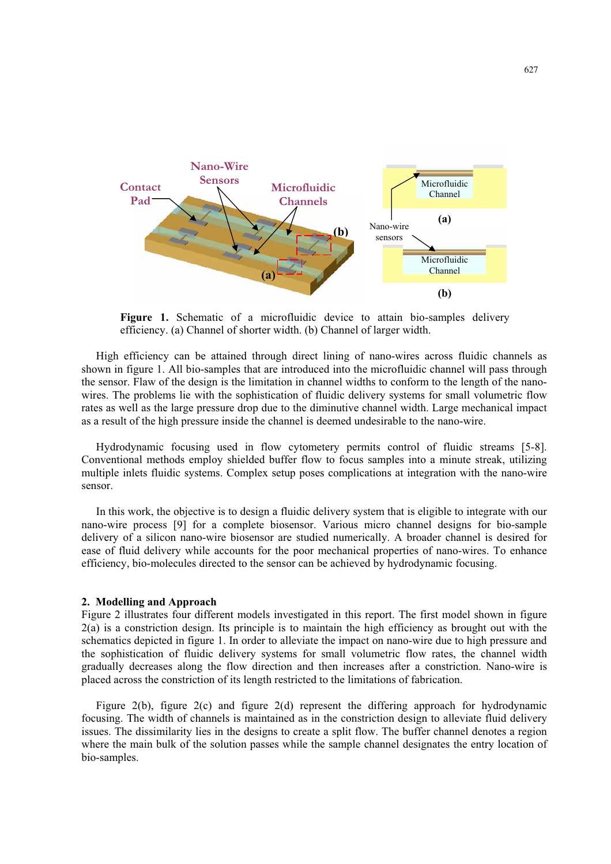

**Figure 1.** Schematic of a microfluidic device to attain bio-samples delivery efficiency. (a) Channel of shorter width. (b) Channel of larger width.

High efficiency can be attained through direct lining of nano-wires across fluidic channels as shown in figure 1. All bio-samples that are introduced into the microfluidic channel will pass through the sensor. Flaw of the design is the limitation in channel widths to conform to the length of the nanowires. The problems lie with the sophistication of fluidic delivery systems for small volumetric flow rates as well as the large pressure drop due to the diminutive channel width. Large mechanical impact as a result of the high pressure inside the channel is deemed undesirable to the nano-wire.

 Hydrodynamic focusing used in flow cytometery permits control of fluidic streams [5-8]. Conventional methods employ shielded buffer flow to focus samples into a minute streak, utilizing multiple inlets fluidic systems. Complex setup poses complications at integration with the nano-wire sensor.

In this work, the objective is to design a fluidic delivery system that is eligible to integrate with our nano-wire process [9] for a complete biosensor. Various micro channel designs for bio-sample delivery of a silicon nano-wire biosensor are studied numerically. A broader channel is desired for ease of fluid delivery while accounts for the poor mechanical properties of nano-wires. To enhance efficiency, bio-molecules directed to the sensor can be achieved by hydrodynamic focusing.

#### **2. Modelling and Approach**

Figure 2 illustrates four different models investigated in this report. The first model shown in figure 2(a) is a constriction design. Its principle is to maintain the high efficiency as brought out with the schematics depicted in figure 1. In order to alleviate the impact on nano-wire due to high pressure and the sophistication of fluidic delivery systems for small volumetric flow rates, the channel width gradually decreases along the flow direction and then increases after a constriction. Nano-wire is placed across the constriction of its length restricted to the limitations of fabrication.

Figure 2(b), figure 2(c) and figure 2(d) represent the differing approach for hydrodynamic focusing. The width of channels is maintained as in the constriction design to alleviate fluid delivery issues. The dissimilarity lies in the designs to create a split flow. The buffer channel denotes a region where the main bulk of the solution passes while the sample channel designates the entry location of bio-samples.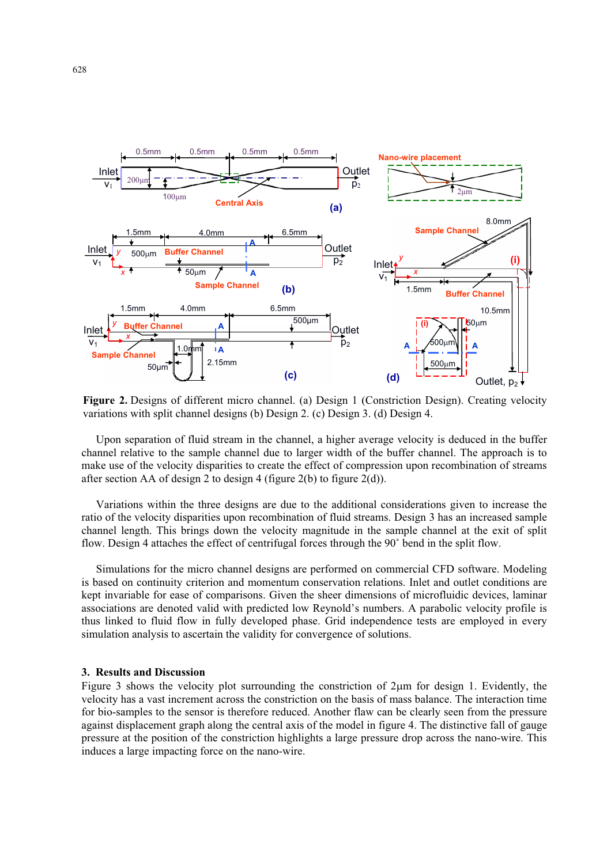

**Figure 2.** Designs of different micro channel. (a) Design 1 (Constriction Design). Creating velocity variations with split channel designs (b) Design 2. (c) Design 3. (d) Design 4.

Upon separation of fluid stream in the channel, a higher average velocity is deduced in the buffer channel relative to the sample channel due to larger width of the buffer channel. The approach is to make use of the velocity disparities to create the effect of compression upon recombination of streams after section AA of design 2 to design 4 (figure  $2(b)$  to figure  $2(d)$ ).

Variations within the three designs are due to the additional considerations given to increase the ratio of the velocity disparities upon recombination of fluid streams. Design 3 has an increased sample channel length. This brings down the velocity magnitude in the sample channel at the exit of split flow. Design 4 attaches the effect of centrifugal forces through the 90˚ bend in the split flow.

Simulations for the micro channel designs are performed on commercial CFD software. Modeling is based on continuity criterion and momentum conservation relations. Inlet and outlet conditions are kept invariable for ease of comparisons. Given the sheer dimensions of microfluidic devices, laminar associations are denoted valid with predicted low Reynold's numbers. A parabolic velocity profile is thus linked to fluid flow in fully developed phase. Grid independence tests are employed in every simulation analysis to ascertain the validity for convergence of solutions.

## **3. Results and Discussion**

Figure 3 shows the velocity plot surrounding the constriction of  $2\mu m$  for design 1. Evidently, the velocity has a vast increment across the constriction on the basis of mass balance. The interaction time for bio-samples to the sensor is therefore reduced. Another flaw can be clearly seen from the pressure against displacement graph along the central axis of the model in figure 4. The distinctive fall of gauge pressure at the position of the constriction highlights a large pressure drop across the nano-wire. This induces a large impacting force on the nano-wire.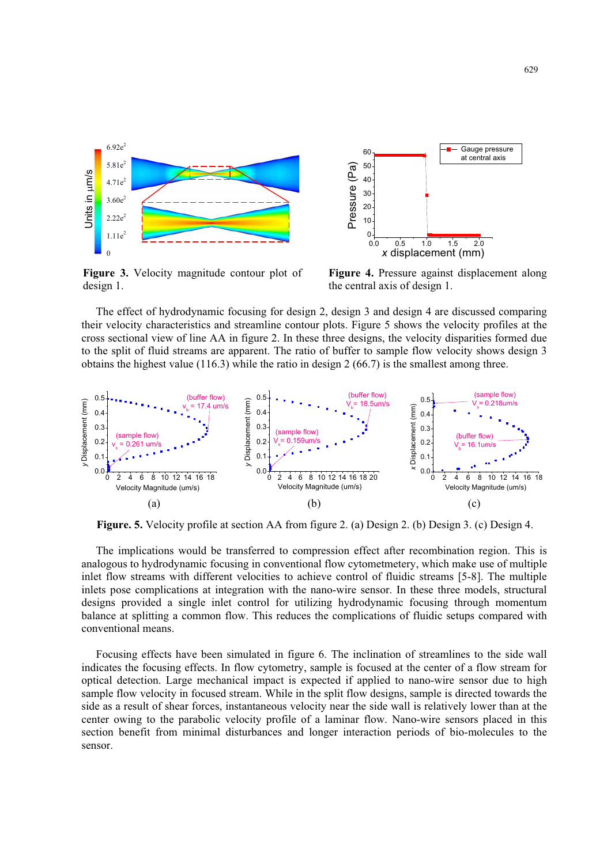

**Figure 3.** Velocity magnitude contour plot of design 1.



**Figure 4.** Pressure against displacement along the central axis of design 1.

The effect of hydrodynamic focusing for design 2, design 3 and design 4 are discussed comparing their velocity characteristics and streamline contour plots. Figure 5 shows the velocity profiles at the cross sectional view of line AA in figure 2. In these three designs, the velocity disparities formed due to the split of fluid streams are apparent. The ratio of buffer to sample flow velocity shows design 3 obtains the highest value (116.3) while the ratio in design 2 (66.7) is the smallest among three.



**Figure. 5.** Velocity profile at section AA from figure 2. (a) Design 2. (b) Design 3. (c) Design 4.

The implications would be transferred to compression effect after recombination region. This is analogous to hydrodynamic focusing in conventional flow cytometmetery, which make use of multiple inlet flow streams with different velocities to achieve control of fluidic streams [5-8]. The multiple inlets pose complications at integration with the nano-wire sensor. In these three models, structural designs provided a single inlet control for utilizing hydrodynamic focusing through momentum balance at splitting a common flow. This reduces the complications of fluidic setups compared with conventional means.

Focusing effects have been simulated in figure 6. The inclination of streamlines to the side wall indicates the focusing effects. In flow cytometry, sample is focused at the center of a flow stream for optical detection. Large mechanical impact is expected if applied to nano-wire sensor due to high sample flow velocity in focused stream. While in the split flow designs, sample is directed towards the side as a result of shear forces, instantaneous velocity near the side wall is relatively lower than at the center owing to the parabolic velocity profile of a laminar flow. Nano-wire sensors placed in this section benefit from minimal disturbances and longer interaction periods of bio-molecules to the sensor.